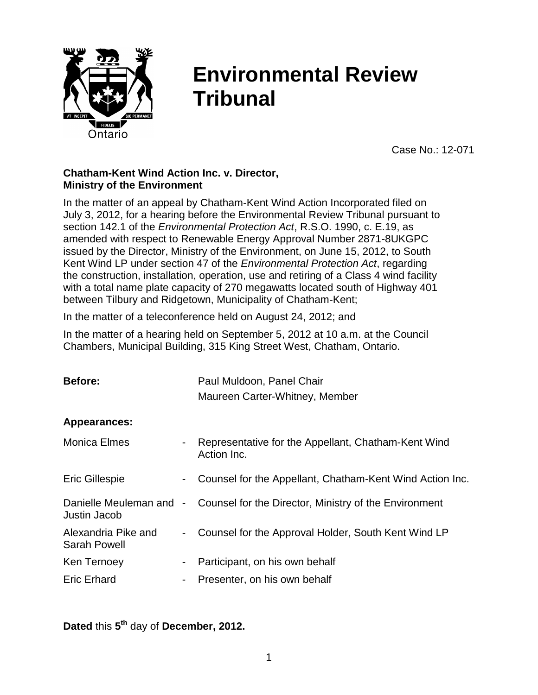

# **Environmental Review Tribunal**

Case No.: 12-071

## **Chatham-Kent Wind Action Inc. v. Director, Ministry of the Environment**

In the matter of an appeal by Chatham-Kent Wind Action Incorporated filed on July 3, 2012, for a hearing before the Environmental Review Tribunal pursuant to section 142.1 of the *Environmental Protection Act*, R.S.O. 1990, c. E.19, as amended with respect to Renewable Energy Approval Number 2871-8UKGPC issued by the Director, Ministry of the Environment, on June 15, 2012, to South Kent Wind LP under section 47 of the *Environmental Protection Act*, regarding the construction, installation, operation, use and retiring of a Class 4 wind facility with a total name plate capacity of 270 megawatts located south of Highway 401 between Tilbury and Ridgetown, Municipality of Chatham-Kent;

In the matter of a teleconference held on August 24, 2012; and

In the matter of a hearing held on September 5, 2012 at 10 a.m. at the Council Chambers, Municipal Building, 315 King Street West, Chatham, Ontario.

| Before:                                    |                | Paul Muldoon, Panel Chair                                          |
|--------------------------------------------|----------------|--------------------------------------------------------------------|
|                                            |                | Maureen Carter-Whitney, Member                                     |
| Appearances:                               |                |                                                                    |
| <b>Monica Elmes</b>                        |                | Representative for the Appellant, Chatham-Kent Wind<br>Action Inc. |
| <b>Eric Gillespie</b>                      |                | Counsel for the Appellant, Chatham-Kent Wind Action Inc.           |
| Danielle Meuleman and<br>Justin Jacob      | $\blacksquare$ | Counsel for the Director, Ministry of the Environment              |
| Alexandria Pike and<br><b>Sarah Powell</b> |                | Counsel for the Approval Holder, South Kent Wind LP                |
| Ken Ternoey                                | -              | Participant, on his own behalf                                     |
| <b>Eric Erhard</b>                         | ۰              | Presenter, on his own behalf                                       |

**Dated** this **5 th** day of **December, 2012.**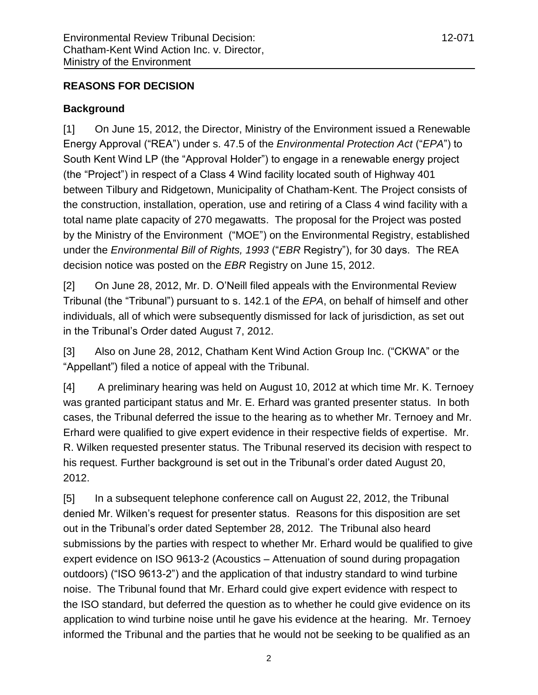# **REASONS FOR DECISION**

# **Background**

[1] On June 15, 2012, the Director, Ministry of the Environment issued a Renewable Energy Approval ("REA") under s. 47.5 of the *Environmental Protection Act* ("*EPA*") to South Kent Wind LP (the "Approval Holder") to engage in a renewable energy project (the "Project") in respect of a Class 4 Wind facility located south of Highway 401 between Tilbury and Ridgetown, Municipality of Chatham-Kent. The Project consists of the construction, installation, operation, use and retiring of a Class 4 wind facility with a total name plate capacity of 270 megawatts. The proposal for the Project was posted by the Ministry of the Environment ("MOE") on the Environmental Registry, established under the *Environmental Bill of Rights, 1993* ("*EBR* Registry"), for 30 days. The REA decision notice was posted on the *EBR* Registry on June 15, 2012.

[2] On June 28, 2012, Mr. D. O"Neill filed appeals with the Environmental Review Tribunal (the "Tribunal") pursuant to s. 142.1 of the *EPA*, on behalf of himself and other individuals, all of which were subsequently dismissed for lack of jurisdiction, as set out in the Tribunal"s Order dated August 7, 2012.

[3] Also on June 28, 2012, Chatham Kent Wind Action Group Inc. ("CKWA" or the "Appellant") filed a notice of appeal with the Tribunal.

[4] A preliminary hearing was held on August 10, 2012 at which time Mr. K. Ternoey was granted participant status and Mr. E. Erhard was granted presenter status. In both cases, the Tribunal deferred the issue to the hearing as to whether Mr. Ternoey and Mr. Erhard were qualified to give expert evidence in their respective fields of expertise. Mr. R. Wilken requested presenter status. The Tribunal reserved its decision with respect to his request. Further background is set out in the Tribunal"s order dated August 20, 2012.

[5] In a subsequent telephone conference call on August 22, 2012, the Tribunal denied Mr. Wilken"s request for presenter status. Reasons for this disposition are set out in the Tribunal"s order dated September 28, 2012. The Tribunal also heard submissions by the parties with respect to whether Mr. Erhard would be qualified to give expert evidence on ISO 9613-2 (Acoustics – Attenuation of sound during propagation outdoors) ("ISO 9613-2") and the application of that industry standard to wind turbine noise. The Tribunal found that Mr. Erhard could give expert evidence with respect to the ISO standard, but deferred the question as to whether he could give evidence on its application to wind turbine noise until he gave his evidence at the hearing. Mr. Ternoey informed the Tribunal and the parties that he would not be seeking to be qualified as an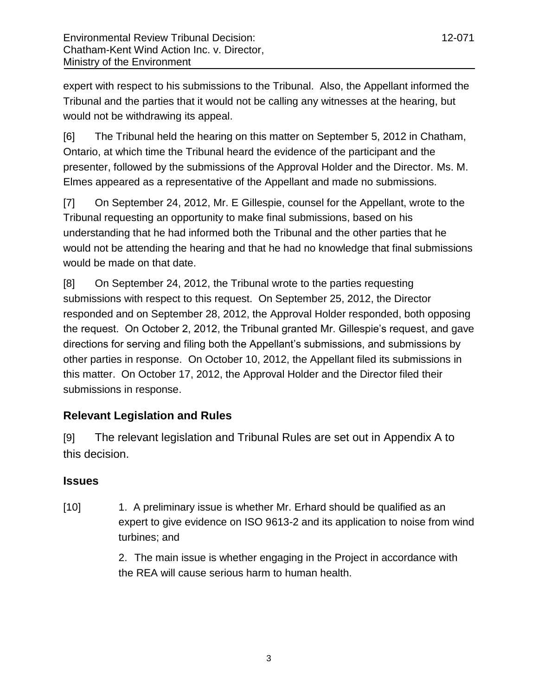expert with respect to his submissions to the Tribunal. Also, the Appellant informed the Tribunal and the parties that it would not be calling any witnesses at the hearing, but would not be withdrawing its appeal.

[6] The Tribunal held the hearing on this matter on September 5, 2012 in Chatham, Ontario, at which time the Tribunal heard the evidence of the participant and the presenter, followed by the submissions of the Approval Holder and the Director. Ms. M. Elmes appeared as a representative of the Appellant and made no submissions.

[7] On September 24, 2012, Mr. E Gillespie, counsel for the Appellant, wrote to the Tribunal requesting an opportunity to make final submissions, based on his understanding that he had informed both the Tribunal and the other parties that he would not be attending the hearing and that he had no knowledge that final submissions would be made on that date.

[8] On September 24, 2012, the Tribunal wrote to the parties requesting submissions with respect to this request. On September 25, 2012, the Director responded and on September 28, 2012, the Approval Holder responded, both opposing the request. On October 2, 2012, the Tribunal granted Mr. Gillespie"s request, and gave directions for serving and filing both the Appellant"s submissions, and submissions by other parties in response. On October 10, 2012, the Appellant filed its submissions in this matter. On October 17, 2012, the Approval Holder and the Director filed their submissions in response.

# **Relevant Legislation and Rules**

[9] The relevant legislation and Tribunal Rules are set out in Appendix A to this decision.

# **Issues**

[10] 1. A preliminary issue is whether Mr. Erhard should be qualified as an expert to give evidence on ISO 9613-2 and its application to noise from wind turbines; and

> 2. The main issue is whether engaging in the Project in accordance with the REA will cause serious harm to human health.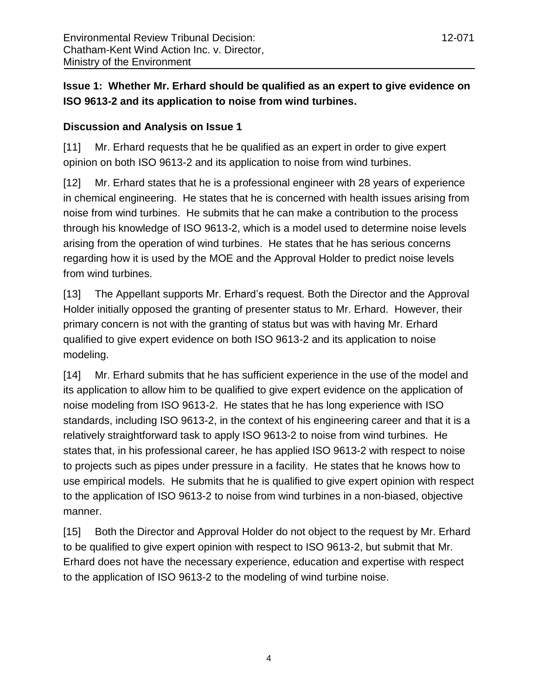# **Issue 1: Whether Mr. Erhard should be qualified as an expert to give evidence on ISO 9613-2 and its application to noise from wind turbines.**

# **Discussion and Analysis on Issue 1**

[11] Mr. Erhard requests that he be qualified as an expert in order to give expert opinion on both ISO 9613-2 and its application to noise from wind turbines.

[12] Mr. Erhard states that he is a professional engineer with 28 years of experience in chemical engineering. He states that he is concerned with health issues arising from noise from wind turbines. He submits that he can make a contribution to the process through his knowledge of ISO 9613-2, which is a model used to determine noise levels arising from the operation of wind turbines. He states that he has serious concerns regarding how it is used by the MOE and the Approval Holder to predict noise levels from wind turbines.

[13] The Appellant supports Mr. Erhard"s request. Both the Director and the Approval Holder initially opposed the granting of presenter status to Mr. Erhard. However, their primary concern is not with the granting of status but was with having Mr. Erhard qualified to give expert evidence on both ISO 9613-2 and its application to noise modeling.

[14] Mr. Erhard submits that he has sufficient experience in the use of the model and its application to allow him to be qualified to give expert evidence on the application of noise modeling from ISO 9613-2. He states that he has long experience with ISO standards, including ISO 9613-2, in the context of his engineering career and that it is a relatively straightforward task to apply ISO 9613-2 to noise from wind turbines. He states that, in his professional career, he has applied ISO 9613-2 with respect to noise to projects such as pipes under pressure in a facility. He states that he knows how to use empirical models. He submits that he is qualified to give expert opinion with respect to the application of ISO 9613-2 to noise from wind turbines in a non-biased, objective manner.

[15] Both the Director and Approval Holder do not object to the request by Mr. Erhard to be qualified to give expert opinion with respect to ISO 9613-2, but submit that Mr. Erhard does not have the necessary experience, education and expertise with respect to the application of ISO 9613-2 to the modeling of wind turbine noise.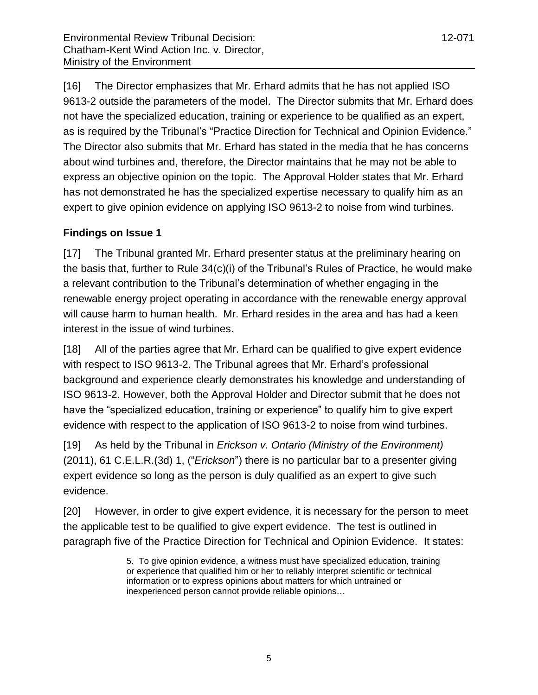[16] The Director emphasizes that Mr. Erhard admits that he has not applied ISO 9613-2 outside the parameters of the model. The Director submits that Mr. Erhard does not have the specialized education, training or experience to be qualified as an expert, as is required by the Tribunal"s "Practice Direction for Technical and Opinion Evidence." The Director also submits that Mr. Erhard has stated in the media that he has concerns about wind turbines and, therefore, the Director maintains that he may not be able to express an objective opinion on the topic. The Approval Holder states that Mr. Erhard has not demonstrated he has the specialized expertise necessary to qualify him as an expert to give opinion evidence on applying ISO 9613-2 to noise from wind turbines.

# **Findings on Issue 1**

[17] The Tribunal granted Mr. Erhard presenter status at the preliminary hearing on the basis that, further to Rule  $34(c)(i)$  of the Tribunal's Rules of Practice, he would make a relevant contribution to the Tribunal"s determination of whether engaging in the renewable energy project operating in accordance with the renewable energy approval will cause harm to human health. Mr. Erhard resides in the area and has had a keen interest in the issue of wind turbines.

[18] All of the parties agree that Mr. Erhard can be qualified to give expert evidence with respect to ISO 9613-2. The Tribunal agrees that Mr. Erhard"s professional background and experience clearly demonstrates his knowledge and understanding of ISO 9613-2. However, both the Approval Holder and Director submit that he does not have the "specialized education, training or experience" to qualify him to give expert evidence with respect to the application of ISO 9613-2 to noise from wind turbines.

[19] As held by the Tribunal in *Erickson v. Ontario (Ministry of the Environment)* (2011), 61 C.E.L.R.(3d) 1, ("*Erickson*") there is no particular bar to a presenter giving expert evidence so long as the person is duly qualified as an expert to give such evidence.

[20] However, in order to give expert evidence, it is necessary for the person to meet the applicable test to be qualified to give expert evidence. The test is outlined in paragraph five of the Practice Direction for Technical and Opinion Evidence. It states:

> 5. To give opinion evidence, a witness must have specialized education, training or experience that qualified him or her to reliably interpret scientific or technical information or to express opinions about matters for which untrained or inexperienced person cannot provide reliable opinions…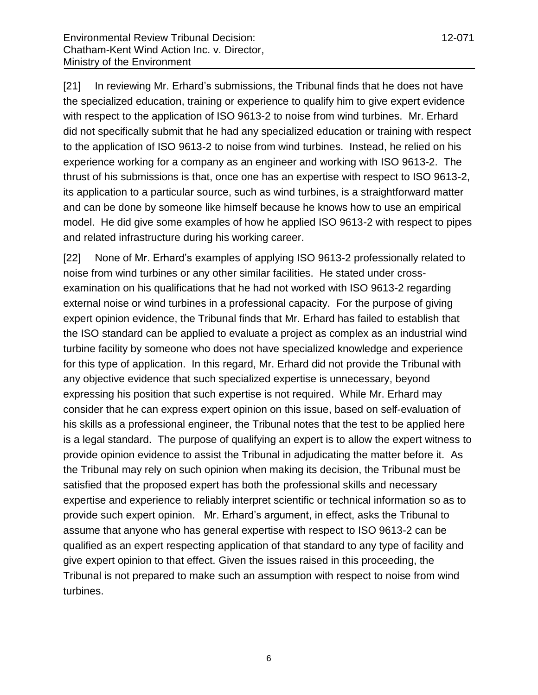[21] In reviewing Mr. Erhard"s submissions, the Tribunal finds that he does not have the specialized education, training or experience to qualify him to give expert evidence with respect to the application of ISO 9613-2 to noise from wind turbines. Mr. Erhard did not specifically submit that he had any specialized education or training with respect to the application of ISO 9613-2 to noise from wind turbines. Instead, he relied on his experience working for a company as an engineer and working with ISO 9613-2. The thrust of his submissions is that, once one has an expertise with respect to ISO 9613-2, its application to a particular source, such as wind turbines, is a straightforward matter and can be done by someone like himself because he knows how to use an empirical model. He did give some examples of how he applied ISO 9613-2 with respect to pipes and related infrastructure during his working career.

[22] None of Mr. Erhard"s examples of applying ISO 9613-2 professionally related to noise from wind turbines or any other similar facilities. He stated under crossexamination on his qualifications that he had not worked with ISO 9613-2 regarding external noise or wind turbines in a professional capacity. For the purpose of giving expert opinion evidence, the Tribunal finds that Mr. Erhard has failed to establish that the ISO standard can be applied to evaluate a project as complex as an industrial wind turbine facility by someone who does not have specialized knowledge and experience for this type of application. In this regard, Mr. Erhard did not provide the Tribunal with any objective evidence that such specialized expertise is unnecessary, beyond expressing his position that such expertise is not required. While Mr. Erhard may consider that he can express expert opinion on this issue, based on self-evaluation of his skills as a professional engineer, the Tribunal notes that the test to be applied here is a legal standard. The purpose of qualifying an expert is to allow the expert witness to provide opinion evidence to assist the Tribunal in adjudicating the matter before it. As the Tribunal may rely on such opinion when making its decision, the Tribunal must be satisfied that the proposed expert has both the professional skills and necessary expertise and experience to reliably interpret scientific or technical information so as to provide such expert opinion. Mr. Erhard"s argument, in effect, asks the Tribunal to assume that anyone who has general expertise with respect to ISO 9613-2 can be qualified as an expert respecting application of that standard to any type of facility and give expert opinion to that effect. Given the issues raised in this proceeding, the Tribunal is not prepared to make such an assumption with respect to noise from wind turbines.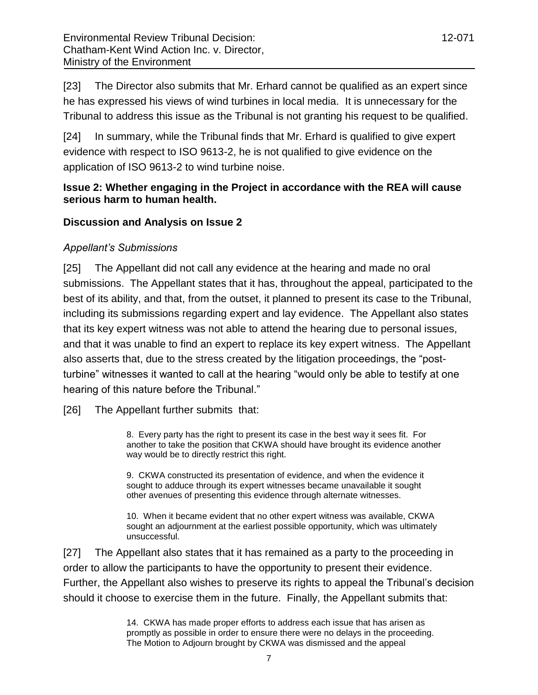[23] The Director also submits that Mr. Erhard cannot be qualified as an expert since he has expressed his views of wind turbines in local media. It is unnecessary for the Tribunal to address this issue as the Tribunal is not granting his request to be qualified.

[24] In summary, while the Tribunal finds that Mr. Erhard is qualified to give expert evidence with respect to ISO 9613-2, he is not qualified to give evidence on the application of ISO 9613-2 to wind turbine noise.

# **Issue 2: Whether engaging in the Project in accordance with the REA will cause serious harm to human health.**

# **Discussion and Analysis on Issue 2**

# *Appellant's Submissions*

[25] The Appellant did not call any evidence at the hearing and made no oral submissions. The Appellant states that it has, throughout the appeal, participated to the best of its ability, and that, from the outset, it planned to present its case to the Tribunal, including its submissions regarding expert and lay evidence. The Appellant also states that its key expert witness was not able to attend the hearing due to personal issues, and that it was unable to find an expert to replace its key expert witness. The Appellant also asserts that, due to the stress created by the litigation proceedings, the "postturbine" witnesses it wanted to call at the hearing "would only be able to testify at one hearing of this nature before the Tribunal."

[26] The Appellant further submits that:

8. Every party has the right to present its case in the best way it sees fit. For another to take the position that CKWA should have brought its evidence another way would be to directly restrict this right.

9. CKWA constructed its presentation of evidence, and when the evidence it sought to adduce through its expert witnesses became unavailable it sought other avenues of presenting this evidence through alternate witnesses.

10. When it became evident that no other expert witness was available, CKWA sought an adjournment at the earliest possible opportunity, which was ultimately unsuccessful.

[27] The Appellant also states that it has remained as a party to the proceeding in order to allow the participants to have the opportunity to present their evidence. Further, the Appellant also wishes to preserve its rights to appeal the Tribunal"s decision should it choose to exercise them in the future. Finally, the Appellant submits that:

> 14. CKWA has made proper efforts to address each issue that has arisen as promptly as possible in order to ensure there were no delays in the proceeding. The Motion to Adjourn brought by CKWA was dismissed and the appeal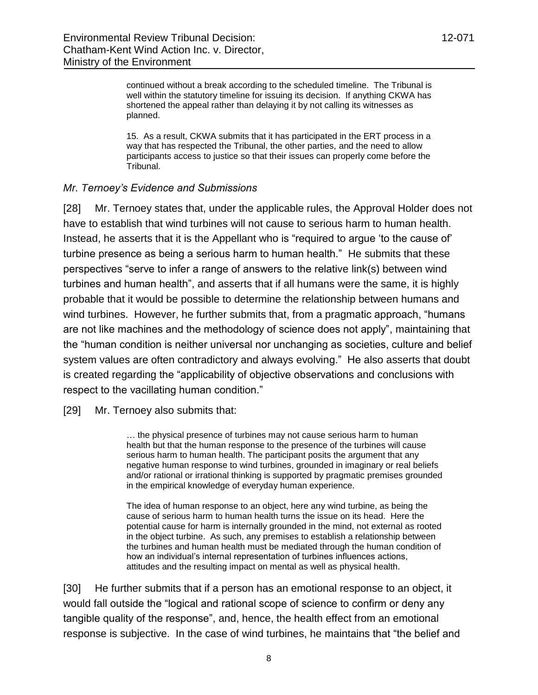continued without a break according to the scheduled timeline. The Tribunal is well within the statutory timeline for issuing its decision. If anything CKWA has shortened the appeal rather than delaying it by not calling its witnesses as planned.

15. As a result, CKWA submits that it has participated in the ERT process in a way that has respected the Tribunal, the other parties, and the need to allow participants access to justice so that their issues can properly come before the Tribunal.

### *Mr. Ternoey's Evidence and Submissions*

[28] Mr. Ternoey states that, under the applicable rules, the Approval Holder does not have to establish that wind turbines will not cause to serious harm to human health. Instead, he asserts that it is the Appellant who is "required to argue "to the cause of" turbine presence as being a serious harm to human health." He submits that these perspectives "serve to infer a range of answers to the relative link(s) between wind turbines and human health", and asserts that if all humans were the same, it is highly probable that it would be possible to determine the relationship between humans and wind turbines. However, he further submits that, from a pragmatic approach, "humans are not like machines and the methodology of science does not apply", maintaining that the "human condition is neither universal nor unchanging as societies, culture and belief system values are often contradictory and always evolving." He also asserts that doubt is created regarding the "applicability of objective observations and conclusions with respect to the vacillating human condition."

[29] Mr. Ternoey also submits that:

… the physical presence of turbines may not cause serious harm to human health but that the human response to the presence of the turbines will cause serious harm to human health. The participant posits the argument that any negative human response to wind turbines, grounded in imaginary or real beliefs and/or rational or irrational thinking is supported by pragmatic premises grounded in the empirical knowledge of everyday human experience.

The idea of human response to an object, here any wind turbine, as being the cause of serious harm to human health turns the issue on its head. Here the potential cause for harm is internally grounded in the mind, not external as rooted in the object turbine. As such, any premises to establish a relationship between the turbines and human health must be mediated through the human condition of how an individual"s internal representation of turbines influences actions, attitudes and the resulting impact on mental as well as physical health.

[30] He further submits that if a person has an emotional response to an object, it would fall outside the "logical and rational scope of science to confirm or deny any tangible quality of the response", and, hence, the health effect from an emotional response is subjective. In the case of wind turbines, he maintains that "the belief and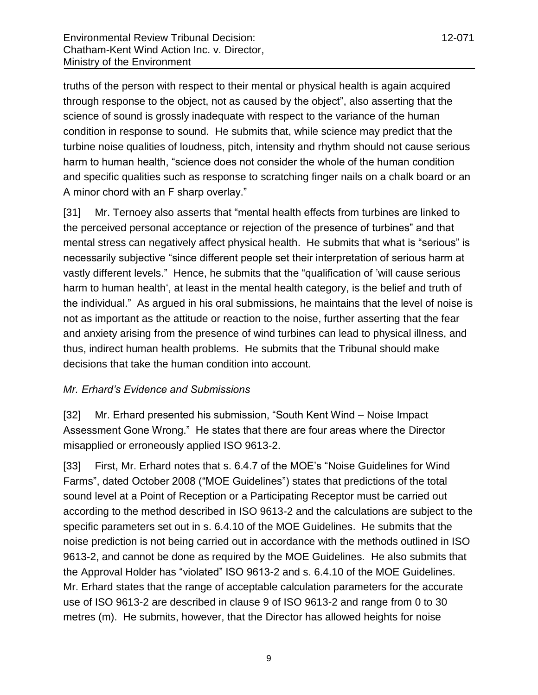truths of the person with respect to their mental or physical health is again acquired through response to the object, not as caused by the object", also asserting that the science of sound is grossly inadequate with respect to the variance of the human condition in response to sound. He submits that, while science may predict that the turbine noise qualities of loudness, pitch, intensity and rhythm should not cause serious harm to human health, "science does not consider the whole of the human condition and specific qualities such as response to scratching finger nails on a chalk board or an A minor chord with an F sharp overlay."

[31] Mr. Ternoey also asserts that "mental health effects from turbines are linked to the perceived personal acceptance or rejection of the presence of turbines" and that mental stress can negatively affect physical health. He submits that what is "serious" is necessarily subjective "since different people set their interpretation of serious harm at vastly different levels." Hence, he submits that the "qualification of "will cause serious harm to human health', at least in the mental health category, is the belief and truth of the individual." As argued in his oral submissions, he maintains that the level of noise is not as important as the attitude or reaction to the noise, further asserting that the fear and anxiety arising from the presence of wind turbines can lead to physical illness, and thus, indirect human health problems. He submits that the Tribunal should make decisions that take the human condition into account.

### *Mr. Erhard's Evidence and Submissions*

[32] Mr. Erhard presented his submission, "South Kent Wind – Noise Impact Assessment Gone Wrong." He states that there are four areas where the Director misapplied or erroneously applied ISO 9613-2.

[33] First, Mr. Erhard notes that s. 6.4.7 of the MOE's "Noise Guidelines for Wind Farms", dated October 2008 ("MOE Guidelines") states that predictions of the total sound level at a Point of Reception or a Participating Receptor must be carried out according to the method described in ISO 9613-2 and the calculations are subject to the specific parameters set out in s. 6.4.10 of the MOE Guidelines. He submits that the noise prediction is not being carried out in accordance with the methods outlined in ISO 9613-2, and cannot be done as required by the MOE Guidelines. He also submits that the Approval Holder has "violated" ISO 9613-2 and s. 6.4.10 of the MOE Guidelines. Mr. Erhard states that the range of acceptable calculation parameters for the accurate use of ISO 9613-2 are described in clause 9 of ISO 9613-2 and range from 0 to 30 metres (m). He submits, however, that the Director has allowed heights for noise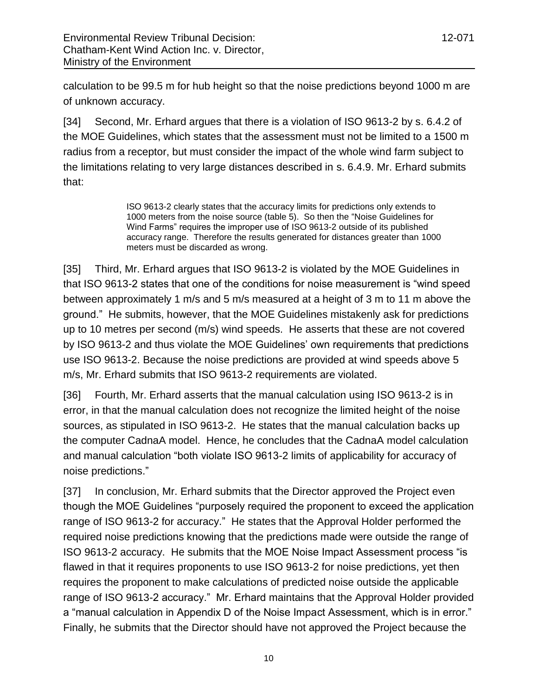calculation to be 99.5 m for hub height so that the noise predictions beyond 1000 m are of unknown accuracy.

[34] Second, Mr. Erhard argues that there is a violation of ISO 9613-2 by s. 6.4.2 of the MOE Guidelines, which states that the assessment must not be limited to a 1500 m radius from a receptor, but must consider the impact of the whole wind farm subject to the limitations relating to very large distances described in s. 6.4.9. Mr. Erhard submits that:

> ISO 9613-2 clearly states that the accuracy limits for predictions only extends to 1000 meters from the noise source (table 5). So then the "Noise Guidelines for Wind Farms" requires the improper use of ISO 9613-2 outside of its published accuracy range. Therefore the results generated for distances greater than 1000 meters must be discarded as wrong.

[35] Third, Mr. Erhard argues that ISO 9613-2 is violated by the MOE Guidelines in that ISO 9613-2 states that one of the conditions for noise measurement is "wind speed between approximately 1 m/s and 5 m/s measured at a height of 3 m to 11 m above the ground." He submits, however, that the MOE Guidelines mistakenly ask for predictions up to 10 metres per second (m/s) wind speeds. He asserts that these are not covered by ISO 9613-2 and thus violate the MOE Guidelines" own requirements that predictions use ISO 9613-2. Because the noise predictions are provided at wind speeds above 5 m/s, Mr. Erhard submits that ISO 9613-2 requirements are violated.

[36] Fourth, Mr. Erhard asserts that the manual calculation using ISO 9613-2 is in error, in that the manual calculation does not recognize the limited height of the noise sources, as stipulated in ISO 9613-2. He states that the manual calculation backs up the computer CadnaA model. Hence, he concludes that the CadnaA model calculation and manual calculation "both violate ISO 9613-2 limits of applicability for accuracy of noise predictions."

[37] In conclusion, Mr. Erhard submits that the Director approved the Project even though the MOE Guidelines "purposely required the proponent to exceed the application range of ISO 9613-2 for accuracy." He states that the Approval Holder performed the required noise predictions knowing that the predictions made were outside the range of ISO 9613-2 accuracy. He submits that the MOE Noise Impact Assessment process "is flawed in that it requires proponents to use ISO 9613-2 for noise predictions, yet then requires the proponent to make calculations of predicted noise outside the applicable range of ISO 9613-2 accuracy." Mr. Erhard maintains that the Approval Holder provided a "manual calculation in Appendix D of the Noise Impact Assessment, which is in error." Finally, he submits that the Director should have not approved the Project because the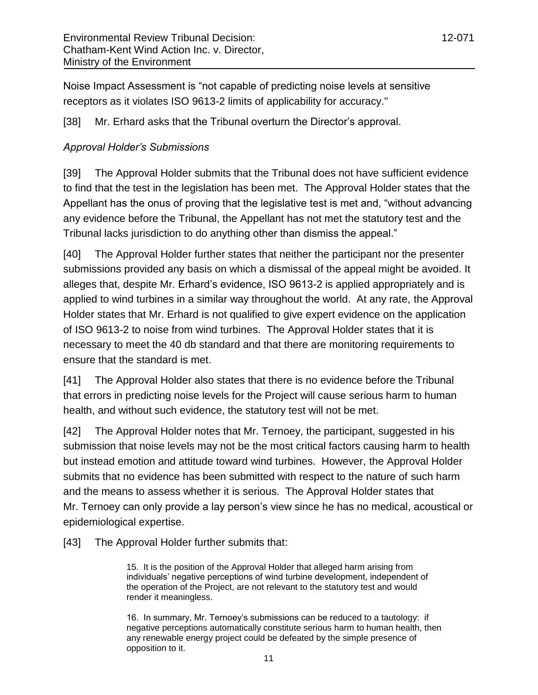Noise Impact Assessment is "not capable of predicting noise levels at sensitive receptors as it violates ISO 9613-2 limits of applicability for accuracy."

[38] Mr. Erhard asks that the Tribunal overturn the Director's approval.

# *Approval Holder's Submissions*

[39] The Approval Holder submits that the Tribunal does not have sufficient evidence to find that the test in the legislation has been met. The Approval Holder states that the Appellant has the onus of proving that the legislative test is met and, "without advancing any evidence before the Tribunal, the Appellant has not met the statutory test and the Tribunal lacks jurisdiction to do anything other than dismiss the appeal."

[40] The Approval Holder further states that neither the participant nor the presenter submissions provided any basis on which a dismissal of the appeal might be avoided. It alleges that, despite Mr. Erhard"s evidence, ISO 9613-2 is applied appropriately and is applied to wind turbines in a similar way throughout the world. At any rate, the Approval Holder states that Mr. Erhard is not qualified to give expert evidence on the application of ISO 9613-2 to noise from wind turbines. The Approval Holder states that it is necessary to meet the 40 db standard and that there are monitoring requirements to ensure that the standard is met.

[41] The Approval Holder also states that there is no evidence before the Tribunal that errors in predicting noise levels for the Project will cause serious harm to human health, and without such evidence, the statutory test will not be met.

[42] The Approval Holder notes that Mr. Ternoey, the participant, suggested in his submission that noise levels may not be the most critical factors causing harm to health but instead emotion and attitude toward wind turbines. However, the Approval Holder submits that no evidence has been submitted with respect to the nature of such harm and the means to assess whether it is serious. The Approval Holder states that Mr. Ternoey can only provide a lay person"s view since he has no medical, acoustical or epidemiological expertise.

[43] The Approval Holder further submits that:

15. It is the position of the Approval Holder that alleged harm arising from individuals" negative perceptions of wind turbine development, independent of the operation of the Project, are not relevant to the statutory test and would render it meaningless.

16. In summary, Mr. Ternoey"s submissions can be reduced to a tautology: if negative perceptions automatically constitute serious harm to human health, then any renewable energy project could be defeated by the simple presence of opposition to it.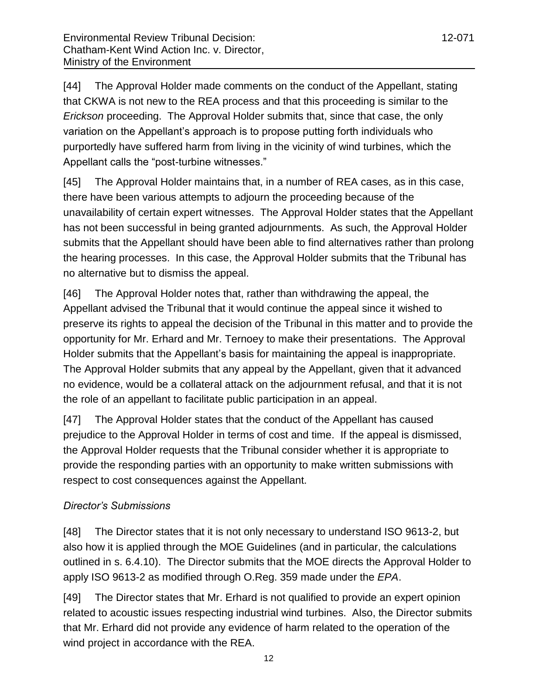[44] The Approval Holder made comments on the conduct of the Appellant, stating that CKWA is not new to the REA process and that this proceeding is similar to the *Erickson* proceeding. The Approval Holder submits that, since that case, the only variation on the Appellant"s approach is to propose putting forth individuals who purportedly have suffered harm from living in the vicinity of wind turbines, which the Appellant calls the "post-turbine witnesses."

[45] The Approval Holder maintains that, in a number of REA cases, as in this case, there have been various attempts to adjourn the proceeding because of the unavailability of certain expert witnesses. The Approval Holder states that the Appellant has not been successful in being granted adjournments. As such, the Approval Holder submits that the Appellant should have been able to find alternatives rather than prolong the hearing processes. In this case, the Approval Holder submits that the Tribunal has no alternative but to dismiss the appeal.

[46] The Approval Holder notes that, rather than withdrawing the appeal, the Appellant advised the Tribunal that it would continue the appeal since it wished to preserve its rights to appeal the decision of the Tribunal in this matter and to provide the opportunity for Mr. Erhard and Mr. Ternoey to make their presentations. The Approval Holder submits that the Appellant"s basis for maintaining the appeal is inappropriate. The Approval Holder submits that any appeal by the Appellant, given that it advanced no evidence, would be a collateral attack on the adjournment refusal, and that it is not the role of an appellant to facilitate public participation in an appeal.

[47] The Approval Holder states that the conduct of the Appellant has caused prejudice to the Approval Holder in terms of cost and time. If the appeal is dismissed, the Approval Holder requests that the Tribunal consider whether it is appropriate to provide the responding parties with an opportunity to make written submissions with respect to cost consequences against the Appellant.

# *Director's Submissions*

[48] The Director states that it is not only necessary to understand ISO 9613-2, but also how it is applied through the MOE Guidelines (and in particular, the calculations outlined in s. 6.4.10). The Director submits that the MOE directs the Approval Holder to apply ISO 9613-2 as modified through O.Reg. 359 made under the *EPA*.

[49] The Director states that Mr. Erhard is not qualified to provide an expert opinion related to acoustic issues respecting industrial wind turbines. Also, the Director submits that Mr. Erhard did not provide any evidence of harm related to the operation of the wind project in accordance with the REA.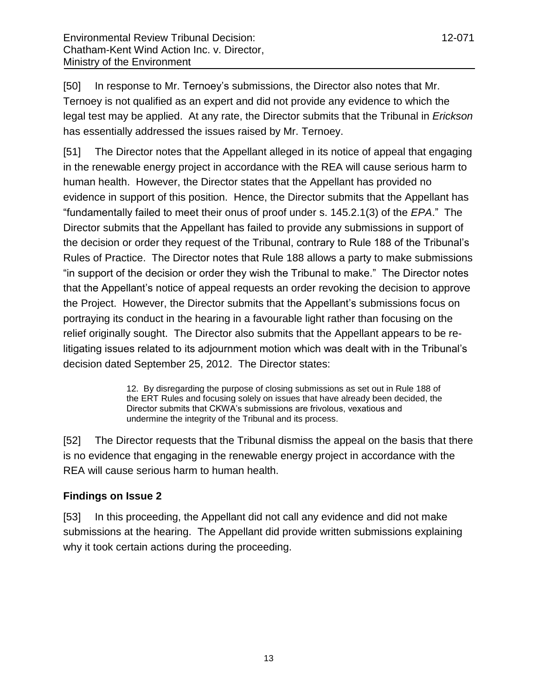[50] In response to Mr. Ternoey's submissions, the Director also notes that Mr. Ternoey is not qualified as an expert and did not provide any evidence to which the legal test may be applied. At any rate, the Director submits that the Tribunal in *Erickson* has essentially addressed the issues raised by Mr. Ternoey.

[51] The Director notes that the Appellant alleged in its notice of appeal that engaging in the renewable energy project in accordance with the REA will cause serious harm to human health. However, the Director states that the Appellant has provided no evidence in support of this position. Hence, the Director submits that the Appellant has "fundamentally failed to meet their onus of proof under s. 145.2.1(3) of the *EPA*." The Director submits that the Appellant has failed to provide any submissions in support of the decision or order they request of the Tribunal, contrary to Rule 188 of the Tribunal"s Rules of Practice. The Director notes that Rule 188 allows a party to make submissions "in support of the decision or order they wish the Tribunal to make." The Director notes that the Appellant"s notice of appeal requests an order revoking the decision to approve the Project. However, the Director submits that the Appellant"s submissions focus on portraying its conduct in the hearing in a favourable light rather than focusing on the relief originally sought. The Director also submits that the Appellant appears to be relitigating issues related to its adjournment motion which was dealt with in the Tribunal"s decision dated September 25, 2012. The Director states:

> 12. By disregarding the purpose of closing submissions as set out in Rule 188 of the ERT Rules and focusing solely on issues that have already been decided, the Director submits that CKWA"s submissions are frivolous, vexatious and undermine the integrity of the Tribunal and its process.

[52] The Director requests that the Tribunal dismiss the appeal on the basis that there is no evidence that engaging in the renewable energy project in accordance with the REA will cause serious harm to human health.

# **Findings on Issue 2**

[53] In this proceeding, the Appellant did not call any evidence and did not make submissions at the hearing. The Appellant did provide written submissions explaining why it took certain actions during the proceeding.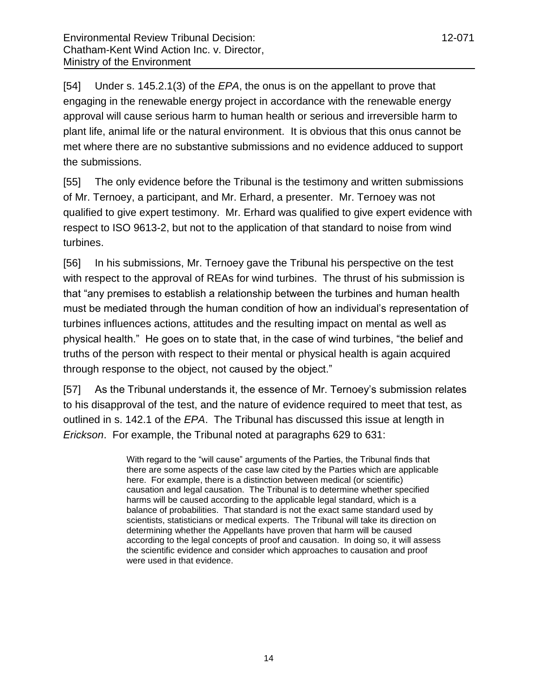[54] Under s. 145.2.1(3) of the *EPA*, the onus is on the appellant to prove that engaging in the renewable energy project in accordance with the renewable energy approval will cause serious harm to human health or serious and irreversible harm to plant life, animal life or the natural environment. It is obvious that this onus cannot be met where there are no substantive submissions and no evidence adduced to support the submissions.

[55] The only evidence before the Tribunal is the testimony and written submissions of Mr. Ternoey, a participant, and Mr. Erhard, a presenter. Mr. Ternoey was not qualified to give expert testimony. Mr. Erhard was qualified to give expert evidence with respect to ISO 9613-2, but not to the application of that standard to noise from wind turbines.

[56] In his submissions, Mr. Ternoey gave the Tribunal his perspective on the test with respect to the approval of REAs for wind turbines. The thrust of his submission is that "any premises to establish a relationship between the turbines and human health must be mediated through the human condition of how an individual"s representation of turbines influences actions, attitudes and the resulting impact on mental as well as physical health." He goes on to state that, in the case of wind turbines, "the belief and truths of the person with respect to their mental or physical health is again acquired through response to the object, not caused by the object."

[57] As the Tribunal understands it, the essence of Mr. Ternoey"s submission relates to his disapproval of the test, and the nature of evidence required to meet that test, as outlined in s. 142.1 of the *EPA*. The Tribunal has discussed this issue at length in *Erickson*. For example, the Tribunal noted at paragraphs 629 to 631:

> With regard to the "will cause" arguments of the Parties, the Tribunal finds that there are some aspects of the case law cited by the Parties which are applicable here. For example, there is a distinction between medical (or scientific) causation and legal causation. The Tribunal is to determine whether specified harms will be caused according to the applicable legal standard, which is a balance of probabilities. That standard is not the exact same standard used by scientists, statisticians or medical experts. The Tribunal will take its direction on determining whether the Appellants have proven that harm will be caused according to the legal concepts of proof and causation. In doing so, it will assess the scientific evidence and consider which approaches to causation and proof were used in that evidence.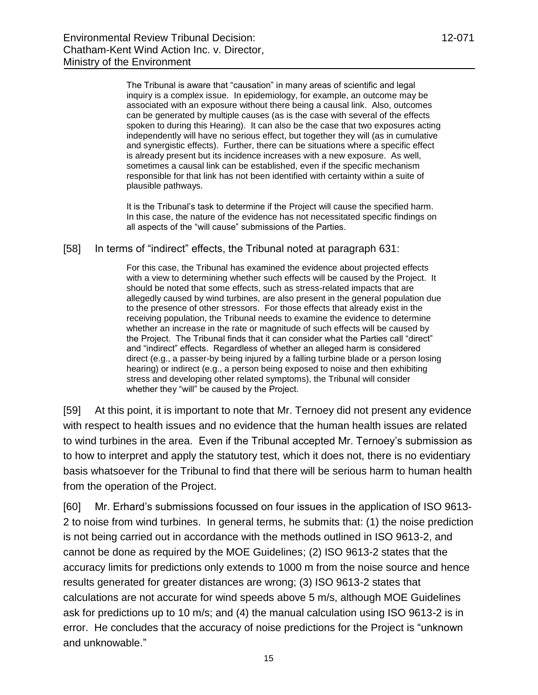The Tribunal is aware that "causation" in many areas of scientific and legal inquiry is a complex issue. In epidemiology, for example, an outcome may be associated with an exposure without there being a causal link. Also, outcomes can be generated by multiple causes (as is the case with several of the effects spoken to during this Hearing). It can also be the case that two exposures acting independently will have no serious effect, but together they will (as in cumulative and synergistic effects). Further, there can be situations where a specific effect is already present but its incidence increases with a new exposure. As well, sometimes a causal link can be established, even if the specific mechanism responsible for that link has not been identified with certainty within a suite of plausible pathways.

It is the Tribunal's task to determine if the Project will cause the specified harm. In this case, the nature of the evidence has not necessitated specific findings on all aspects of the "will cause" submissions of the Parties.

[58] In terms of "indirect" effects, the Tribunal noted at paragraph 631:

For this case, the Tribunal has examined the evidence about projected effects with a view to determining whether such effects will be caused by the Project. It should be noted that some effects, such as stress-related impacts that are allegedly caused by wind turbines, are also present in the general population due to the presence of other stressors. For those effects that already exist in the receiving population, the Tribunal needs to examine the evidence to determine whether an increase in the rate or magnitude of such effects will be caused by the Project. The Tribunal finds that it can consider what the Parties call "direct" and "indirect" effects. Regardless of whether an alleged harm is considered direct (e.g., a passer-by being injured by a falling turbine blade or a person losing hearing) or indirect (e.g., a person being exposed to noise and then exhibiting stress and developing other related symptoms), the Tribunal will consider whether they "will" be caused by the Project.

[59] At this point, it is important to note that Mr. Ternoey did not present any evidence with respect to health issues and no evidence that the human health issues are related to wind turbines in the area. Even if the Tribunal accepted Mr. Ternoey"s submission as to how to interpret and apply the statutory test, which it does not, there is no evidentiary basis whatsoever for the Tribunal to find that there will be serious harm to human health from the operation of the Project.

[60] Mr. Erhard"s submissions focussed on four issues in the application of ISO 9613- 2 to noise from wind turbines. In general terms, he submits that: (1) the noise prediction is not being carried out in accordance with the methods outlined in ISO 9613-2, and cannot be done as required by the MOE Guidelines; (2) ISO 9613-2 states that the accuracy limits for predictions only extends to 1000 m from the noise source and hence results generated for greater distances are wrong; (3) ISO 9613-2 states that calculations are not accurate for wind speeds above 5 m/s, although MOE Guidelines ask for predictions up to 10 m/s; and (4) the manual calculation using ISO 9613-2 is in error. He concludes that the accuracy of noise predictions for the Project is "unknown and unknowable."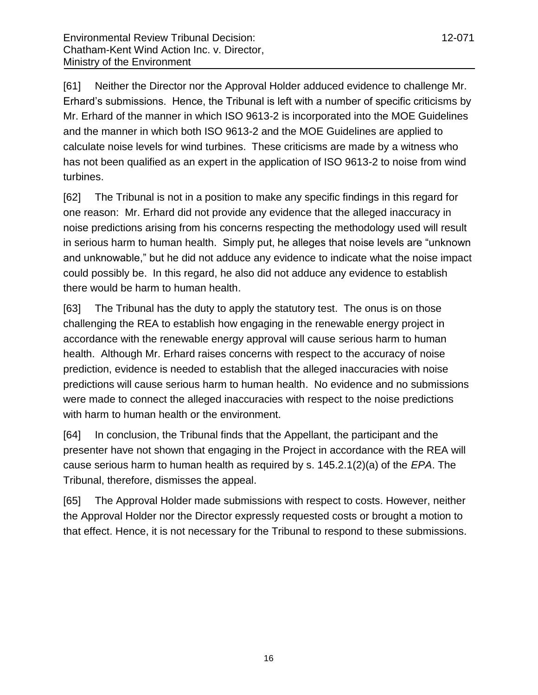[61] Neither the Director nor the Approval Holder adduced evidence to challenge Mr. Erhard"s submissions. Hence, the Tribunal is left with a number of specific criticisms by Mr. Erhard of the manner in which ISO 9613-2 is incorporated into the MOE Guidelines and the manner in which both ISO 9613-2 and the MOE Guidelines are applied to calculate noise levels for wind turbines. These criticisms are made by a witness who has not been qualified as an expert in the application of ISO 9613-2 to noise from wind turbines.

[62] The Tribunal is not in a position to make any specific findings in this regard for one reason: Mr. Erhard did not provide any evidence that the alleged inaccuracy in noise predictions arising from his concerns respecting the methodology used will result in serious harm to human health. Simply put, he alleges that noise levels are "unknown and unknowable," but he did not adduce any evidence to indicate what the noise impact could possibly be. In this regard, he also did not adduce any evidence to establish there would be harm to human health.

[63] The Tribunal has the duty to apply the statutory test. The onus is on those challenging the REA to establish how engaging in the renewable energy project in accordance with the renewable energy approval will cause serious harm to human health. Although Mr. Erhard raises concerns with respect to the accuracy of noise prediction, evidence is needed to establish that the alleged inaccuracies with noise predictions will cause serious harm to human health. No evidence and no submissions were made to connect the alleged inaccuracies with respect to the noise predictions with harm to human health or the environment.

[64] In conclusion, the Tribunal finds that the Appellant, the participant and the presenter have not shown that engaging in the Project in accordance with the REA will cause serious harm to human health as required by s. 145.2.1(2)(a) of the *EPA*. The Tribunal, therefore, dismisses the appeal.

[65] The Approval Holder made submissions with respect to costs. However, neither the Approval Holder nor the Director expressly requested costs or brought a motion to that effect. Hence, it is not necessary for the Tribunal to respond to these submissions.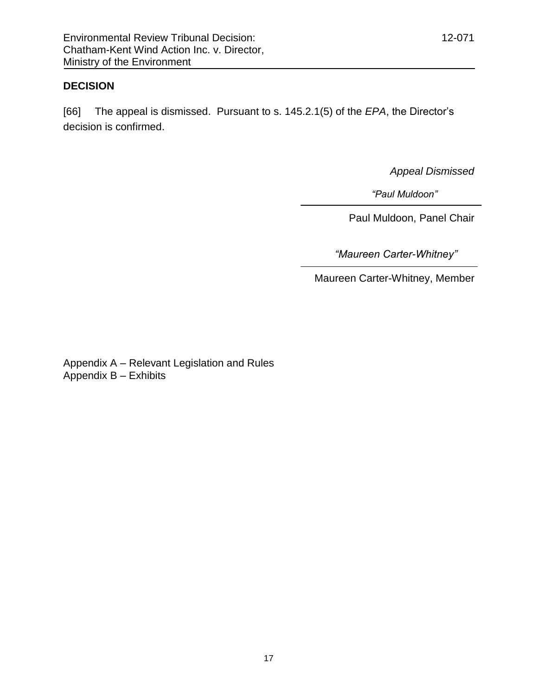# **DECISION**

[66] The appeal is dismissed. Pursuant to s. 145.2.1(5) of the *EPA*, the Director"s decision is confirmed.

*Appeal Dismissed*

 *"Paul Muldoon"*

Paul Muldoon, Panel Chair

*"Maureen Carter-Whitney"*

Maureen Carter-Whitney, Member

Appendix A – Relevant Legislation and Rules Appendix B – Exhibits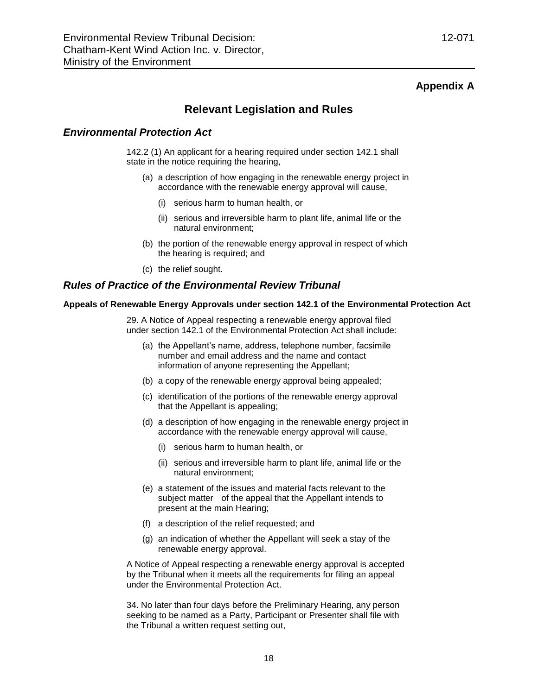### **Appendix A**

# **Relevant Legislation and Rules**

### *Environmental Protection Act*

142.2 (1) An applicant for a hearing required under section 142.1 shall state in the notice requiring the hearing,

- (a) a description of how engaging in the renewable energy project in accordance with the renewable energy approval will cause,
	- (i) serious harm to human health, or
	- (ii) serious and irreversible harm to plant life, animal life or the natural environment;
- (b) the portion of the renewable energy approval in respect of which the hearing is required; and
- (c) the relief sought.

### *Rules of Practice of the Environmental Review Tribunal*

#### **Appeals of Renewable Energy Approvals under section 142.1 of the Environmental Protection Act**

29. A Notice of Appeal respecting a renewable energy approval filed under section 142.1 of the Environmental Protection Act shall include:

- (a) the Appellant"s name, address, telephone number, facsimile number and email address and the name and contact information of anyone representing the Appellant;
- (b) a copy of the renewable energy approval being appealed;
- (c) identification of the portions of the renewable energy approval that the Appellant is appealing;
- (d) a description of how engaging in the renewable energy project in accordance with the renewable energy approval will cause,
	- (i) serious harm to human health, or
	- (ii) serious and irreversible harm to plant life, animal life or the natural environment;
- (e) a statement of the issues and material facts relevant to the subject matter of the appeal that the Appellant intends to present at the main Hearing;
- (f) a description of the relief requested; and
- (g) an indication of whether the Appellant will seek a stay of the renewable energy approval.

A Notice of Appeal respecting a renewable energy approval is accepted by the Tribunal when it meets all the requirements for filing an appeal under the Environmental Protection Act.

34. No later than four days before the Preliminary Hearing, any person seeking to be named as a Party, Participant or Presenter shall file with the Tribunal a written request setting out,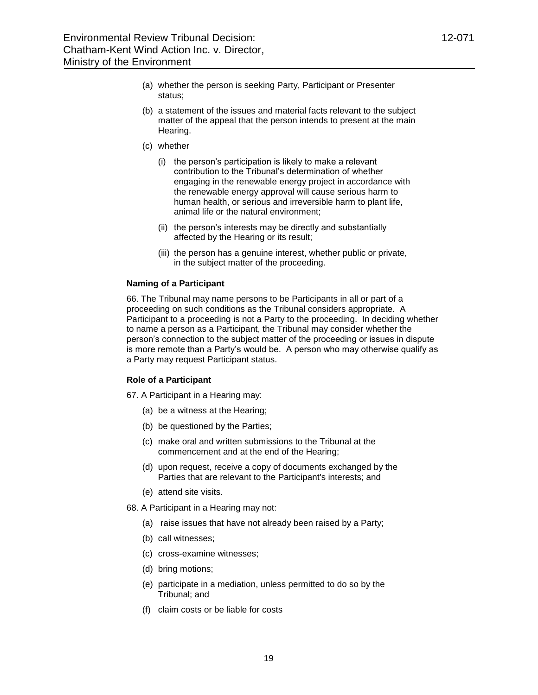- (a) whether the person is seeking Party, Participant or Presenter status;
- (b) a statement of the issues and material facts relevant to the subject matter of the appeal that the person intends to present at the main Hearing.
- (c) whether
	- (i) the person"s participation is likely to make a relevant contribution to the Tribunal"s determination of whether engaging in the renewable energy project in accordance with the renewable energy approval will cause serious harm to human health, or serious and irreversible harm to plant life, animal life or the natural environment;
	- (ii) the person"s interests may be directly and substantially affected by the Hearing or its result;
	- (iii) the person has a genuine interest, whether public or private, in the subject matter of the proceeding.

### **Naming of a Participant**

66. The Tribunal may name persons to be Participants in all or part of a proceeding on such conditions as the Tribunal considers appropriate. A Participant to a proceeding is not a Party to the proceeding. In deciding whether to name a person as a Participant, the Tribunal may consider whether the person"s connection to the subject matter of the proceeding or issues in dispute is more remote than a Party"s would be. A person who may otherwise qualify as a Party may request Participant status.

### **Role of a Participant**

67. A Participant in a Hearing may:

- (a) be a witness at the Hearing;
- (b) be questioned by the Parties;
- (c) make oral and written submissions to the Tribunal at the commencement and at the end of the Hearing;
- (d) upon request, receive a copy of documents exchanged by the Parties that are relevant to the Participant's interests; and
- (e) attend site visits.
- 68. A Participant in a Hearing may not:
	- (a) raise issues that have not already been raised by a Party;
	- (b) call witnesses;
	- (c) cross-examine witnesses;
	- (d) bring motions;
	- (e) participate in a mediation, unless permitted to do so by the Tribunal; and
	- (f) claim costs or be liable for costs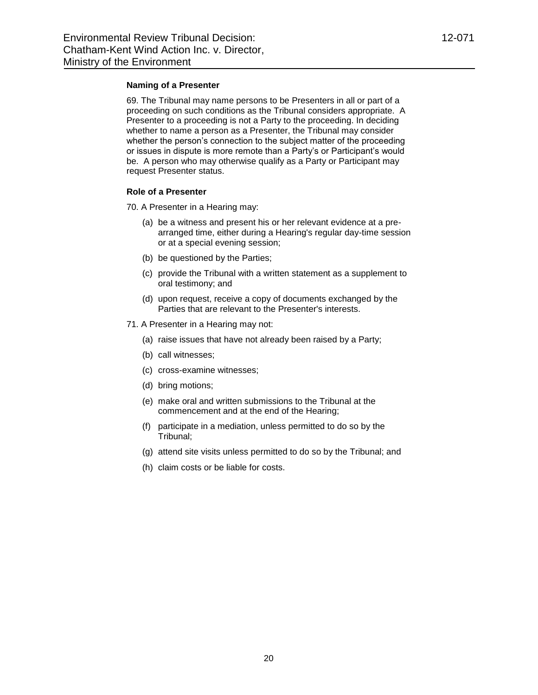#### **Naming of a Presenter**

69. The Tribunal may name persons to be Presenters in all or part of a proceeding on such conditions as the Tribunal considers appropriate. A Presenter to a proceeding is not a Party to the proceeding. In deciding whether to name a person as a Presenter, the Tribunal may consider whether the person's connection to the subject matter of the proceeding or issues in dispute is more remote than a Party"s or Participant"s would be. A person who may otherwise qualify as a Party or Participant may request Presenter status.

### **Role of a Presenter**

70. A Presenter in a Hearing may:

- (a) be a witness and present his or her relevant evidence at a prearranged time, either during a Hearing's regular day-time session or at a special evening session;
- (b) be questioned by the Parties;
- (c) provide the Tribunal with a written statement as a supplement to oral testimony; and
- (d) upon request, receive a copy of documents exchanged by the Parties that are relevant to the Presenter's interests.
- 71. A Presenter in a Hearing may not:
	- (a) raise issues that have not already been raised by a Party;
	- (b) call witnesses;
	- (c) cross-examine witnesses;
	- (d) bring motions;
	- (e) make oral and written submissions to the Tribunal at the commencement and at the end of the Hearing;
	- (f) participate in a mediation, unless permitted to do so by the Tribunal;
	- (g) attend site visits unless permitted to do so by the Tribunal; and
	- (h) claim costs or be liable for costs.